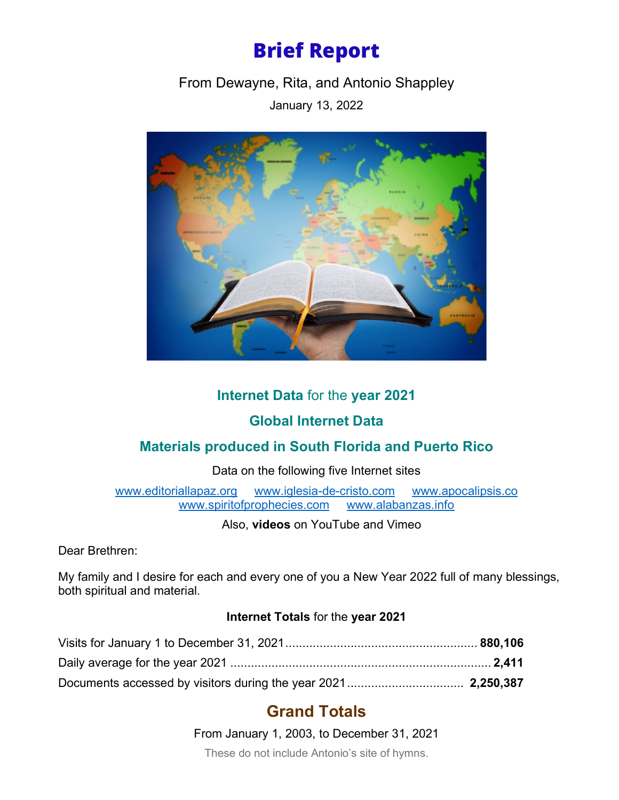# **Brief Report**

From Dewayne, Rita, and Antonio Shappley

January 13, 2022



## **Internet Data** for the **year 2021**

# **Global Internet Data**

## **Materials produced in South Florida and Puerto Rico**

Data on the following five Internet sites

[www.editoriallapaz.org](http://www.editoriallapaz.org/) [www.iglesia-de-cristo.com](http://www.iglesia-de-cristo.com/) [www.apocalipsis.co](http://www.apocalipsis.co/)<br>www.spiritofprophecies.com www.alabanzas.info www.spiritofprophecies.com

Also, **videos** on YouTube and Vimeo

Dear Brethren:

My family and I desire for each and every one of you a New Year 2022 full of many blessings, both spiritual and material.

#### **Internet Totals** for the **year 2021**

# **Grand Totals**

From January 1, 2003, to December 31, 2021

These do not include Antonio's site of hymns.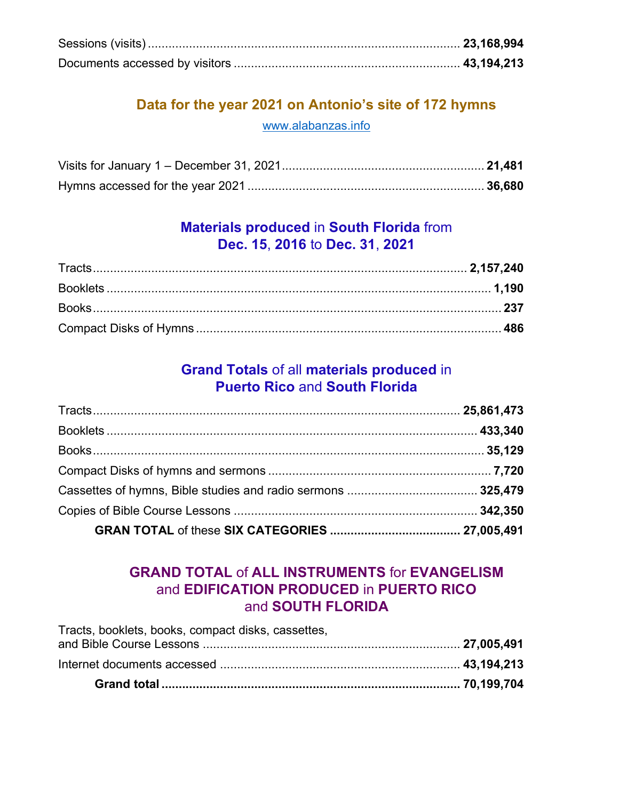## **Data for the year 2021 on Antonio's site of 172 hymns** [www.alabanzas.info](http://www.alabanzas.info/)

### **Materials produced** in **South Florida** from **Dec. 15**, **2016** to **Dec. 31**, **2021**

#### **Grand Totals** of all **materials produced** in **Puerto Rico** and **South Florida**

### **GRAND TOTAL** of **ALL INSTRUMENTS** for **EVANGELISM**  and **EDIFICATION PRODUCED** in **PUERTO RICO**  and **SOUTH FLORIDA**

| Tracts, booklets, books, compact disks, cassettes, |  |
|----------------------------------------------------|--|
|                                                    |  |
|                                                    |  |
|                                                    |  |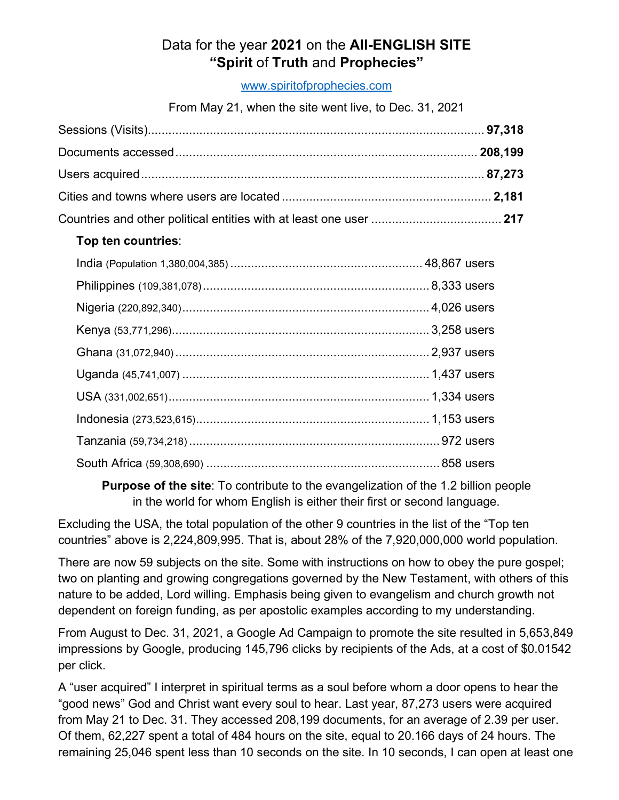## Data for the year **2021** on the **All-ENGLISH SITE "Spirit** of **Truth** and **Prophecies"**

[www.spiritofprophecies.com](http://www.spiritofprophecies.com/)

From May 21, when the site went live, to Dec. 31, 2021

#### **Top ten countries**:

**Purpose of the site**: To contribute to the evangelization of the 1.2 billion people in the world for whom English is either their first or second language.

Excluding the USA, the total population of the other 9 countries in the list of the "Top ten countries" above is 2,224,809,995. That is, about 28% of the 7,920,000,000 world population.

There are now 59 subjects on the site. Some with instructions on how to obey the pure gospel; two on planting and growing congregations governed by the New Testament, with others of this nature to be added, Lord willing. Emphasis being given to evangelism and church growth not dependent on foreign funding, as per apostolic examples according to my understanding.

From August to Dec. 31, 2021, a Google Ad Campaign to promote the site resulted in 5,653,849 impressions by Google, producing 145,796 clicks by recipients of the Ads, at a cost of \$0.01542 per click.

A "user acquired" I interpret in spiritual terms as a soul before whom a door opens to hear the "good news" God and Christ want every soul to hear. Last year, 87,273 users were acquired from May 21 to Dec. 31. They accessed 208,199 documents, for an average of 2.39 per user. Of them, 62,227 spent a total of 484 hours on the site, equal to 20.166 days of 24 hours. The remaining 25,046 spent less than 10 seconds on the site. In 10 seconds, I can open at least one